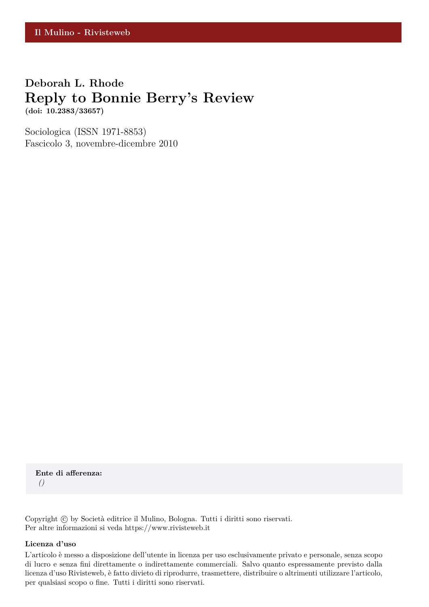## **Deborah L. Rhode Reply to Bonnie Berry's Review (doi: 10.2383/33657)**

Sociologica (ISSN 1971-8853) Fascicolo 3, novembre-dicembre 2010

**Ente di afferenza:** *()*

Copyright © by Società editrice il Mulino, Bologna. Tutti i diritti sono riservati. Per altre informazioni si veda https://www.rivisteweb.it

## **Licenza d'uso**

L'articolo è messo a disposizione dell'utente in licenza per uso esclusivamente privato e personale, senza scopo di lucro e senza fini direttamente o indirettamente commerciali. Salvo quanto espressamente previsto dalla licenza d'uso Rivisteweb, è fatto divieto di riprodurre, trasmettere, distribuire o altrimenti utilizzare l'articolo, per qualsiasi scopo o fine. Tutti i diritti sono riservati.